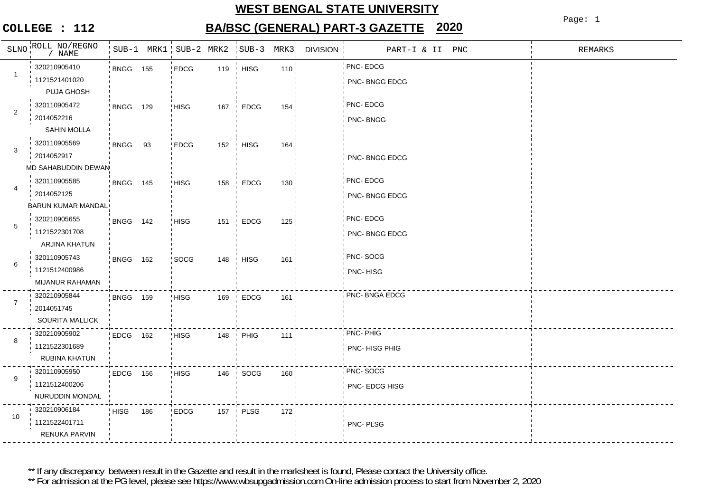## **WEST BENGAL STATE UNIVERSITY**

#### **COLLEGE : 112**

# **BA/BSC (GENERAL) PART-3 GAZETTE 2020**

Page: 1

|                | SLNO ROLL NO/REGNO<br>/ NAME                          |                 |     | SUB-1 MRK1 SUB-2 MRK2 |     | $SUB-3$                       | MRK3 | <b>DIVISION</b> | PART-I & II PNC                  | REMARKS |
|----------------|-------------------------------------------------------|-----------------|-----|-----------------------|-----|-------------------------------|------|-----------------|----------------------------------|---------|
| $\mathbf{1}$   | 320210905410<br>1121521401020<br>PUJA GHOSH           | <b>BNGG 155</b> |     | EDCG                  | 119 | $\parallel$ HISG              | 110  |                 | PNC-EDCG<br>PNC- BNGG EDCG       |         |
| 2              | 320110905472<br>2014052216<br>SAHIN MOLLA             | <b>BNGG 129</b> |     | <b>HISG</b>           | 167 | EDCG<br>$\mathbf{I}$          | 154  |                 | PNC-EDCG<br>PNC-BNGG             |         |
| 3              | 320110905569<br>2014052917<br>MD SAHABUDDIN DEWAN     | BNGG 93         |     | <b>EDCG</b>           | 152 | <b>HISG</b>                   | 164  |                 | PNC-BNGG EDCG                    |         |
| 4              | 320110905585<br>2014052125<br>BARUN KUMAR MANDAL      | <b>BNGG 145</b> |     | <b>HISG</b>           | 158 | <b>EDCG</b>                   | 130  |                 | PNC-EDCG<br>PNC-BNGG EDCG        |         |
| 5              | 320210905655<br>1121522301708<br>ARJINA KHATUN        | <b>BNGG 142</b> |     | <b>HISG</b>           | 151 | <b>EDCG</b><br>- 1            | 125  |                 | PNC- EDCG<br>PNC-BNGG EDCG       |         |
| 6              | 320110905743<br>1121512400986<br>MIJANUR RAHAMAN      | BNGG 162        |     | SOCG                  | 148 | <b>HISG</b><br>$\mathbf{I}$   | 161  |                 | PNC-SOCG<br><b>PNC-HISG</b>      |         |
| $\overline{7}$ | 320210905844<br>2014051745<br><b>SOURITA MALLICK</b>  | <b>BNGG 159</b> |     | <b>HISG</b>           | 169 | <b>EDCG</b><br>$\blacksquare$ | 161  |                 | PNC- BNGA EDCG                   |         |
| 8              | 320210905902<br>1121522301689<br>RUBINA KHATUN        | EDCG 162        |     | <b>HISG</b>           | 148 | PHIG                          | 111  |                 | <b>PNC-PHIG</b><br>PNC-HISG PHIG |         |
| 9              | 320110905950<br>1121512400206<br>NURUDDIN MONDAL      | EDCG 156        |     | <b>HISG</b>           | 146 | SOCG<br>$\mathbf{I}$          | 160  |                 | PNC-SOCG<br>PNC- EDCG HISG       |         |
| 10             | 320210906184<br>1121522401711<br><b>RENUKA PARVIN</b> | <b>HISG</b>     | 186 | <b>EDCG</b>           | 157 | <b>PLSG</b><br>$\mathbf{I}$   | 172  |                 | PNC-PLSG                         |         |

\*\* If any discrepancy between result in the Gazette and result in the marksheet is found, Please contact the University office.

\*\* For admission at the PG level, please see https://www.wbsupgadmission.com On-line admission process to start from November 2, 2020